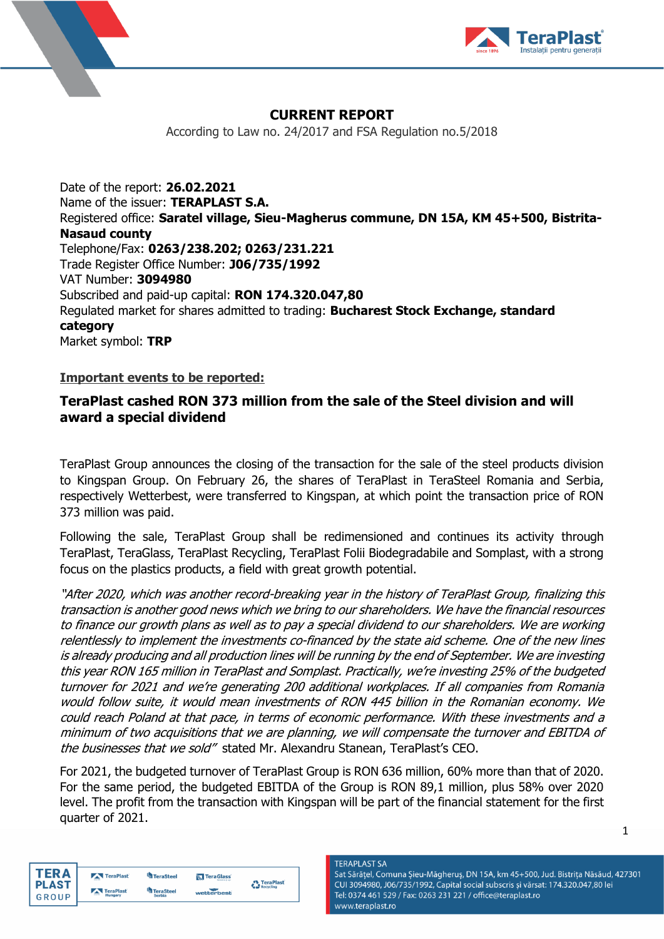



# **CURRENT REPORT**

According to Law no. 24/2017 and FSA Regulation no.5/2018

Date of the report: **26.02.2021** Name of the issuer: **TERAPLAST S.A.** Registered office: **Saratel village, Sieu-Magherus commune, DN 15A, KM 45+500, Bistrita-Nasaud county** Telephone/Fax: **0263/238.202; 0263/231.221** Trade Register Office Number: **J06/735/1992** VAT Number: **3094980** Subscribed and paid-up capital: **RON 174.320.047,80** Regulated market for shares admitted to trading: **Bucharest Stock Exchange, standard category** Market symbol: **TRP**

### **Important events to be reported:**

## **TeraPlast cashed RON 373 million from the sale of the Steel division and will award a special dividend**

TeraPlast Group announces the closing of the transaction for the sale of the steel products division to Kingspan Group. On February 26, the shares of TeraPlast in TeraSteel Romania and Serbia, respectively Wetterbest, were transferred to Kingspan, at which point the transaction price of RON 373 million was paid.

Following the sale, TeraPlast Group shall be redimensioned and continues its activity through TeraPlast, TeraGlass, TeraPlast Recycling, TeraPlast Folii Biodegradabile and Somplast, with a strong focus on the plastics products, a field with great growth potential.

"After 2020, which was another record-breaking year in the history of TeraPlast Group, finalizing this transaction is another good news which we bring to our shareholders. We have the financial resources to finance our growth plans as well as to pay a special dividend to our shareholders. We are working relentlessly to implement the investments co-financed by the state aid scheme. One of the new lines is already producing and all production lines will be running by the end of September. We are investing this year RON 165 million in TeraPlast and Somplast. Practically, we're investing 25% of the budgeted turnover for 2021 and we're generating 200 additional workplaces. If all companies from Romania would follow suite, it would mean investments of RON 445 billion in the Romanian economy. We could reach Poland at that pace, in terms of economic performance. With these investments and a minimum of two acquisitions that we are planning, we will compensate the turnover and EBITDA of the businesses that we sold" stated Mr. Alexandru Stanean, TeraPlast's CEO.

For 2021, the budgeted turnover of TeraPlast Group is RON 636 million, 60% more than that of 2020. For the same period, the budgeted EBITDA of the Group is RON 89,1 million, plus 58% over 2020 level. The profit from the transaction with Kingspan will be part of the financial statement for the first quarter of 2021.

| ΓFR Δ        | TeraPlast                 | TeraSteel     | TeraGlass  | TeraPlast |
|--------------|---------------------------|---------------|------------|-----------|
| <b>PLAST</b> | TeraPlast                 | TeraSteel     |            | Recycling |
|              | $\overline{1}$<br>Hungary | <b>Serbia</b> | wetterbest |           |

**TERAPLAST SA** Sat Sărățel, Comuna Șieu-Măgheruș, DN 15A, km 45+500, Jud. Bistrița Năsăud, 427301 CUI 3094980, J06/735/1992, Capital social subscris și vărsat: 174.320.047,80 lei Tel: 0374 461 529 / Fax: 0263 231 221 / office@teraplast.ro www.teraplast.ro